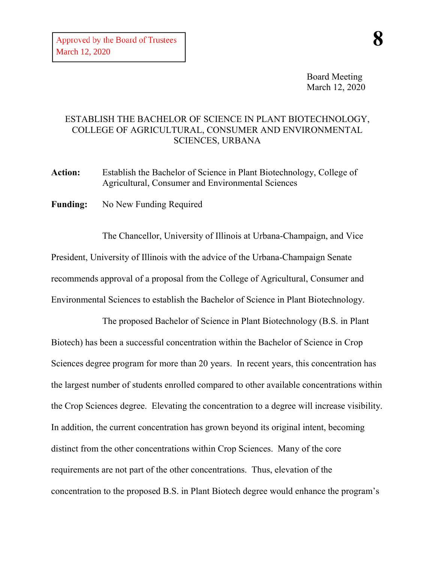Board Meeting March 12, 2020

## ESTABLISH THE BACHELOR OF SCIENCE IN PLANT BIOTECHNOLOGY, COLLEGE OF AGRICULTURAL, CONSUMER AND ENVIRONMENTAL SCIENCES, URBANA

**Action:** Establish the Bachelor of Science in Plant Biotechnology, College of Agricultural, Consumer and Environmental Sciences

**Funding:** No New Funding Required

The Chancellor, University of Illinois at Urbana-Champaign, and Vice President, University of Illinois with the advice of the Urbana-Champaign Senate recommends approval of a proposal from the College of Agricultural, Consumer and Environmental Sciences to establish the Bachelor of Science in Plant Biotechnology.

The proposed Bachelor of Science in Plant Biotechnology (B.S. in Plant Biotech) has been a successful concentration within the Bachelor of Science in Crop Sciences degree program for more than 20 years. In recent years, this concentration has the largest number of students enrolled compared to other available concentrations within the Crop Sciences degree. Elevating the concentration to a degree will increase visibility. In addition, the current concentration has grown beyond its original intent, becoming distinct from the other concentrations within Crop Sciences. Many of the core requirements are not part of the other concentrations. Thus, elevation of the concentration to the proposed B.S. in Plant Biotech degree would enhance the program's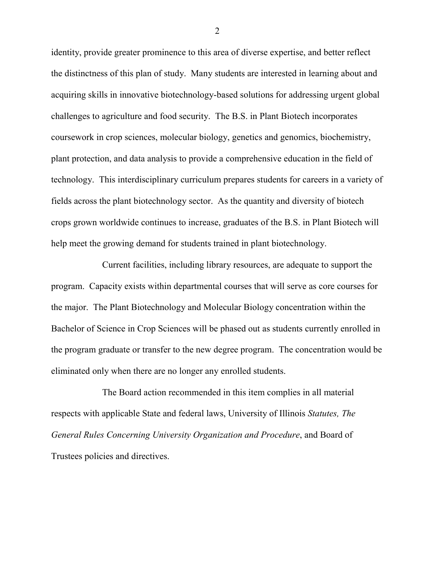identity, provide greater prominence to this area of diverse expertise, and better reflect the distinctness of this plan of study. Many students are interested in learning about and acquiring skills in innovative biotechnology-based solutions for addressing urgent global challenges to agriculture and food security. The B.S. in Plant Biotech incorporates coursework in crop sciences, molecular biology, genetics and genomics, biochemistry, plant protection, and data analysis to provide a comprehensive education in the field of technology. This interdisciplinary curriculum prepares students for careers in a variety of fields across the plant biotechnology sector. As the quantity and diversity of biotech crops grown worldwide continues to increase, graduates of the B.S. in Plant Biotech will help meet the growing demand for students trained in plant biotechnology.

Current facilities, including library resources, are adequate to support the program. Capacity exists within departmental courses that will serve as core courses for the major. The Plant Biotechnology and Molecular Biology concentration within the Bachelor of Science in Crop Sciences will be phased out as students currently enrolled in the program graduate or transfer to the new degree program. The concentration would be eliminated only when there are no longer any enrolled students.

The Board action recommended in this item complies in all material respects with applicable State and federal laws, University of Illinois *Statutes, The General Rules Concerning University Organization and Procedure*, and Board of Trustees policies and directives.

2